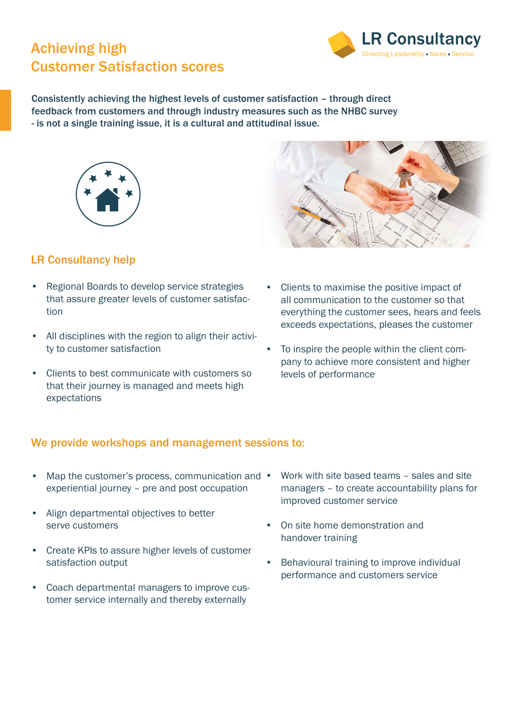# Achieving high Customer Satisfaction scores



Consistently achieving the highest levels of customer satisfaction – through direct feedback from customers and through industry measures such as the NHBC survey - is not a single training issue, it is a cultural and attitudinal issue.



# LR Consultancy help

- Regional Boards to develop service strategies that assure greater levels of customer satisfaction
- All disciplines with the region to align their activity to customer satisfaction
- Clients to best communicate with customers so that their journey is managed and meets high expectations
- Clients to maximise the positive impact of all communication to the customer so that everything the customer sees, hears and feels exceeds expectations, pleases the customer
- To inspire the people within the client company to achieve more consistent and higher levels of performance

### We provide workshops and management sessions to:

- Map the customer's process, communication and experiential journey – pre and post occupation
- Align departmental objectives to better serve customers
- Create KPIs to assure higher levels of customer satisfaction output
- Coach departmental managers to improve customer service internally and thereby externally
- Work with site based teams sales and site managers – to create accountability plans for improved customer service
- On site home demonstration and handover training
- Behavioural training to improve individual performance and customers service